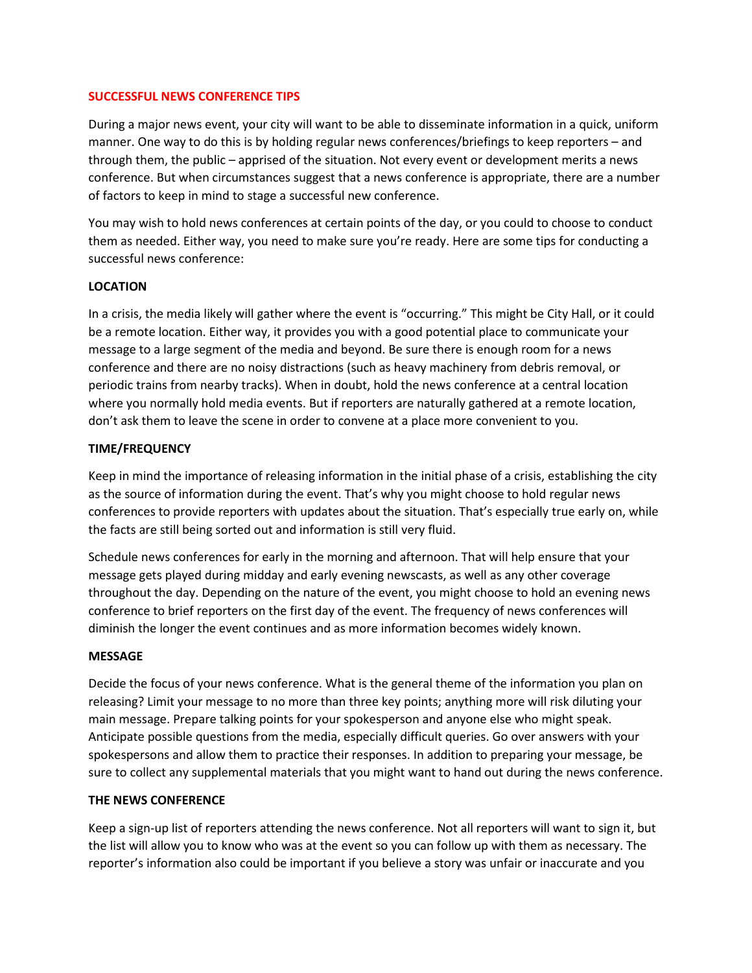### **SUCCESSFUL NEWS CONFERENCE TIPS**

During a major news event, your city will want to be able to disseminate information in a quick, uniform manner. One way to do this is by holding regular news conferences/briefings to keep reporters – and through them, the public – apprised of the situation. Not every event or development merits a news conference. But when circumstances suggest that a news conference is appropriate, there are a number of factors to keep in mind to stage a successful new conference.

You may wish to hold news conferences at certain points of the day, or you could to choose to conduct them as needed. Either way, you need to make sure you're ready. Here are some tips for conducting a successful news conference:

## **LOCATION**

In a crisis, the media likely will gather where the event is "occurring." This might be City Hall, or it could be a remote location. Either way, it provides you with a good potential place to communicate your message to a large segment of the media and beyond. Be sure there is enough room for a news conference and there are no noisy distractions (such as heavy machinery from debris removal, or periodic trains from nearby tracks). When in doubt, hold the news conference at a central location where you normally hold media events. But if reporters are naturally gathered at a remote location, don't ask them to leave the scene in order to convene at a place more convenient to you.

### **TIME/FREQUENCY**

Keep in mind the importance of releasing information in the initial phase of a crisis, establishing the city as the source of information during the event. That's why you might choose to hold regular news conferences to provide reporters with updates about the situation. That's especially true early on, while the facts are still being sorted out and information is still very fluid.

Schedule news conferences for early in the morning and afternoon. That will help ensure that your message gets played during midday and early evening newscasts, as well as any other coverage throughout the day. Depending on the nature of the event, you might choose to hold an evening news conference to brief reporters on the first day of the event. The frequency of news conferences will diminish the longer the event continues and as more information becomes widely known.

#### **MESSAGE**

Decide the focus of your news conference. What is the general theme of the information you plan on releasing? Limit your message to no more than three key points; anything more will risk diluting your main message. Prepare talking points for your spokesperson and anyone else who might speak. Anticipate possible questions from the media, especially difficult queries. Go over answers with your spokespersons and allow them to practice their responses. In addition to preparing your message, be sure to collect any supplemental materials that you might want to hand out during the news conference.

#### **THE NEWS CONFERENCE**

Keep a sign-up list of reporters attending the news conference. Not all reporters will want to sign it, but the list will allow you to know who was at the event so you can follow up with them as necessary. The reporter's information also could be important if you believe a story was unfair or inaccurate and you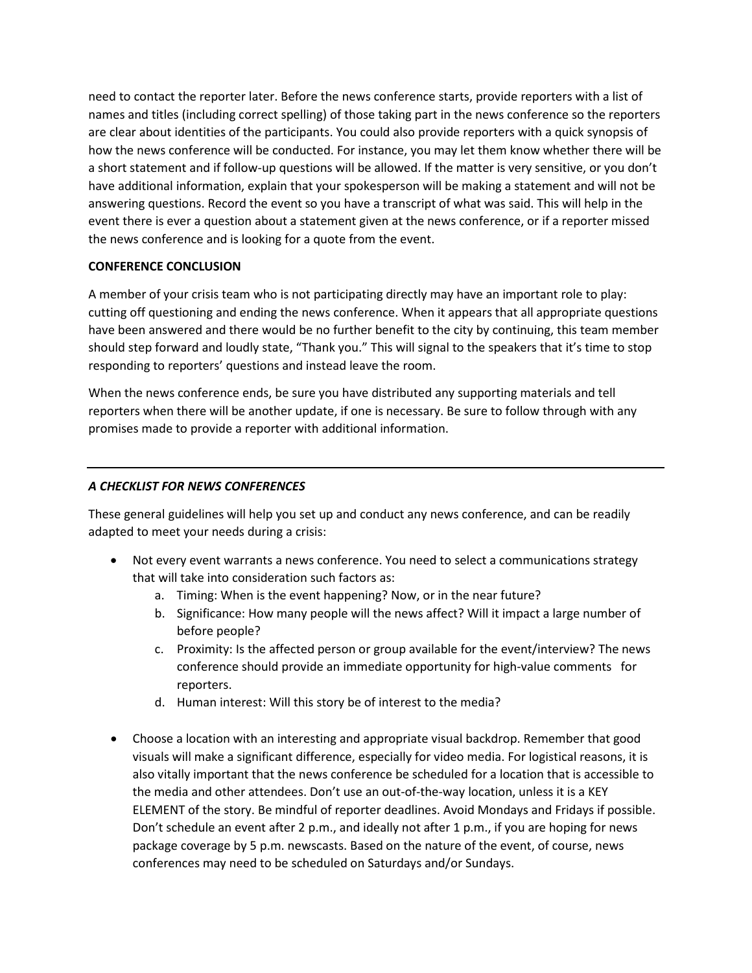need to contact the reporter later. Before the news conference starts, provide reporters with a list of names and titles (including correct spelling) of those taking part in the news conference so the reporters are clear about identities of the participants. You could also provide reporters with a quick synopsis of how the news conference will be conducted. For instance, you may let them know whether there will be a short statement and if follow-up questions will be allowed. If the matter is very sensitive, or you don't have additional information, explain that your spokesperson will be making a statement and will not be answering questions. Record the event so you have a transcript of what was said. This will help in the event there is ever a question about a statement given at the news conference, or if a reporter missed the news conference and is looking for a quote from the event.

# **CONFERENCE CONCLUSION**

A member of your crisis team who is not participating directly may have an important role to play: cutting off questioning and ending the news conference. When it appears that all appropriate questions have been answered and there would be no further benefit to the city by continuing, this team member should step forward and loudly state, "Thank you." This will signal to the speakers that it's time to stop responding to reporters' questions and instead leave the room.

When the news conference ends, be sure you have distributed any supporting materials and tell reporters when there will be another update, if one is necessary. Be sure to follow through with any promises made to provide a reporter with additional information.

# *A CHECKLIST FOR NEWS CONFERENCES*

These general guidelines will help you set up and conduct any news conference, and can be readily adapted to meet your needs during a crisis:

- Not every event warrants a news conference. You need to select a communications strategy that will take into consideration such factors as:
	- a. Timing: When is the event happening? Now, or in the near future?
	- b. Significance: How many people will the news affect? Will it impact a large number of before people?
	- c. Proximity: Is the affected person or group available for the event/interview? The news conference should provide an immediate opportunity for high-value comments for reporters.
	- d. Human interest: Will this story be of interest to the media?
- Choose a location with an interesting and appropriate visual backdrop. Remember that good visuals will make a significant difference, especially for video media. For logistical reasons, it is also vitally important that the news conference be scheduled for a location that is accessible to the media and other attendees. Don't use an out-of-the-way location, unless it is a KEY ELEMENT of the story. Be mindful of reporter deadlines. Avoid Mondays and Fridays if possible. Don't schedule an event after 2 p.m., and ideally not after 1 p.m., if you are hoping for news package coverage by 5 p.m. newscasts. Based on the nature of the event, of course, news conferences may need to be scheduled on Saturdays and/or Sundays.